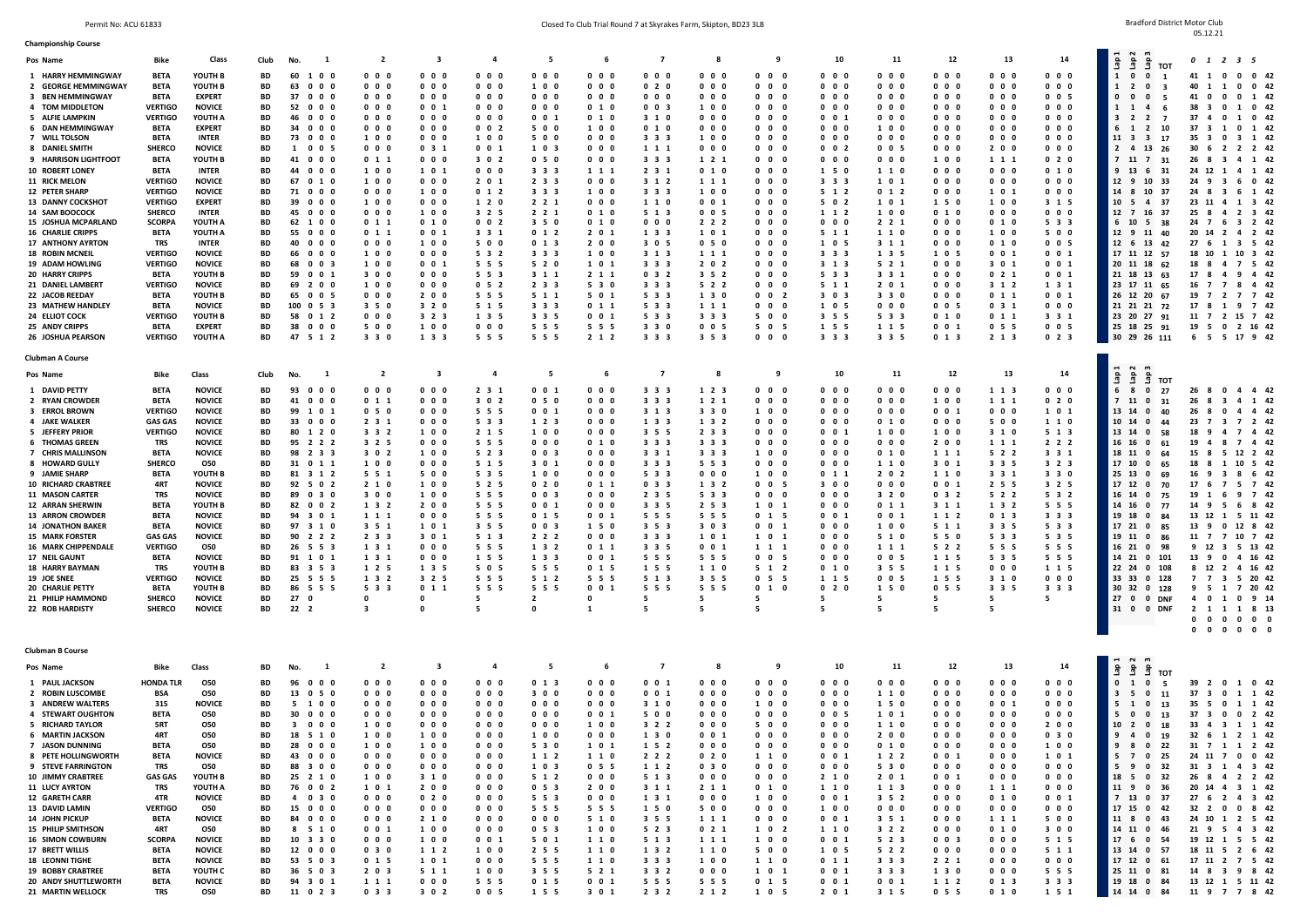$05.12.21$ 

| <b>Championship Course</b>                                                                                                                                                                                                                                                                                                                                                                                                                                                      |                                                                                                                                                                                                                                                                                                                  |                                                                                                                                                                                                                                                                                                                                        |                                                                                                                                                       |                                                                                                                                                                                                                                                                                                                           |                                                                                                                                                                                                                                                                                                                      |                                                                                                                                                                                                                                                                                          |                                                                                                                                                                                                                                                                                                                                                                          |                                                                                                                                                                                                                                                        |                                                                                                                                                                                                                                                                                                                            |                                                                                                                                                                                                                    |                                                                                                                                                                                                                                                                                       |                                                                                                                                                                                                                                                                                                                       |                                                                                                                                                                                                                                                                                                                                                              |                                                                                                                                                                                                                                                                             |                                                                                                                                                                                                                                                                                                                                                                                                                        |                                                                                                                                                                                                                                                                                                                                                                          |                                                                                                                                                                                                                                                                                                        |                                                                                                                                                                                                                                                                                                                                                                                                                                                                                                                                                 |                                                                                                                                                                                                                                                                                                                                                                                                                                                                                                                                                                                                                                                                                                                                                                                                      |
|---------------------------------------------------------------------------------------------------------------------------------------------------------------------------------------------------------------------------------------------------------------------------------------------------------------------------------------------------------------------------------------------------------------------------------------------------------------------------------|------------------------------------------------------------------------------------------------------------------------------------------------------------------------------------------------------------------------------------------------------------------------------------------------------------------|----------------------------------------------------------------------------------------------------------------------------------------------------------------------------------------------------------------------------------------------------------------------------------------------------------------------------------------|-------------------------------------------------------------------------------------------------------------------------------------------------------|---------------------------------------------------------------------------------------------------------------------------------------------------------------------------------------------------------------------------------------------------------------------------------------------------------------------------|----------------------------------------------------------------------------------------------------------------------------------------------------------------------------------------------------------------------------------------------------------------------------------------------------------------------|------------------------------------------------------------------------------------------------------------------------------------------------------------------------------------------------------------------------------------------------------------------------------------------|--------------------------------------------------------------------------------------------------------------------------------------------------------------------------------------------------------------------------------------------------------------------------------------------------------------------------------------------------------------------------|--------------------------------------------------------------------------------------------------------------------------------------------------------------------------------------------------------------------------------------------------------|----------------------------------------------------------------------------------------------------------------------------------------------------------------------------------------------------------------------------------------------------------------------------------------------------------------------------|--------------------------------------------------------------------------------------------------------------------------------------------------------------------------------------------------------------------|---------------------------------------------------------------------------------------------------------------------------------------------------------------------------------------------------------------------------------------------------------------------------------------|-----------------------------------------------------------------------------------------------------------------------------------------------------------------------------------------------------------------------------------------------------------------------------------------------------------------------|--------------------------------------------------------------------------------------------------------------------------------------------------------------------------------------------------------------------------------------------------------------------------------------------------------------------------------------------------------------|-----------------------------------------------------------------------------------------------------------------------------------------------------------------------------------------------------------------------------------------------------------------------------|------------------------------------------------------------------------------------------------------------------------------------------------------------------------------------------------------------------------------------------------------------------------------------------------------------------------------------------------------------------------------------------------------------------------|--------------------------------------------------------------------------------------------------------------------------------------------------------------------------------------------------------------------------------------------------------------------------------------------------------------------------------------------------------------------------|--------------------------------------------------------------------------------------------------------------------------------------------------------------------------------------------------------------------------------------------------------------------------------------------------------|-------------------------------------------------------------------------------------------------------------------------------------------------------------------------------------------------------------------------------------------------------------------------------------------------------------------------------------------------------------------------------------------------------------------------------------------------------------------------------------------------------------------------------------------------|------------------------------------------------------------------------------------------------------------------------------------------------------------------------------------------------------------------------------------------------------------------------------------------------------------------------------------------------------------------------------------------------------------------------------------------------------------------------------------------------------------------------------------------------------------------------------------------------------------------------------------------------------------------------------------------------------------------------------------------------------------------------------------------------------|
| Pos Name                                                                                                                                                                                                                                                                                                                                                                                                                                                                        | <b>Bike</b>                                                                                                                                                                                                                                                                                                      | Class                                                                                                                                                                                                                                                                                                                                  | Club                                                                                                                                                  | No.<br>- 1                                                                                                                                                                                                                                                                                                                | $\overline{2}$                                                                                                                                                                                                                                                                                                       | $\overline{\mathbf{3}}$                                                                                                                                                                                                                                                                  | $\overline{a}$                                                                                                                                                                                                                                                                                                                                                           | 5                                                                                                                                                                                                                                                      | - 6                                                                                                                                                                                                                                                                                                                        | $\overline{7}$                                                                                                                                                                                                     | 8                                                                                                                                                                                                                                                                                     | 9                                                                                                                                                                                                                                                                                                                     | 10                                                                                                                                                                                                                                                                                                                                                           | 11                                                                                                                                                                                                                                                                          | 12                                                                                                                                                                                                                                                                                                                                                                                                                     | 13                                                                                                                                                                                                                                                                                                                                                                       | 14                                                                                                                                                                                                                                                                                                     | $\bullet$                                                                                                                                                                                                                                                                                                                                                                                                                                                                                                                                       | 0 1 2 3 5                                                                                                                                                                                                                                                                                                                                                                                                                                                                                                                                                                                                                                                                                                                                                                                            |
| 1 HARRY HEMMINGWAY<br>2 GEORGE HEMMINGWAY<br>3 BEN HEMMINGWAY<br>4 TOM MIDDLETON<br>5 ALFIE LAMPKIN<br>6 DAN HEMMINGWAY<br>7 WILL TOLSON<br>8 DANIEL SMITH<br>9 HARRISON LIGHTFOOT<br>10 ROBERT LONEY<br><b>11 RICK MELON</b><br><b>12 PETER SHARP</b><br>13 DANNY COCKSHOT<br>14 SAM BOOCOCK                                                                                                                                                                                   | <b>BETA</b><br><b>BETA</b><br><b>BETA</b><br><b>VERTIGO</b><br><b>VERTIGO</b><br>BETA<br><b>BETA</b><br><b>SHERCO</b><br><b>BETA</b><br><b>BETA</b><br><b>VERTIGO</b><br><b>VERTIGO</b><br><b>VERTIGO</b><br><b>SHERCO</b>                                                                                       | YOUTH B<br>YOUTH B<br><b>EXPERT</b><br><b>NOVICE</b><br>YOUTH A<br><b>EXPERT</b><br><b>INTER</b><br><b>NOVICE</b><br>YOUTH B<br><b>INTER</b><br><b>NOVICE</b><br><b>NOVICE</b><br><b>EXPERT</b><br><b>INTER</b>                                                                                                                        | BD<br>BD<br><b>BD</b><br>BD<br>BD<br>BD<br>BD<br>BD<br>BD<br>BD<br>BD<br>BD<br>BD<br>BD                                                               | 60 1 0 0<br>$0\quad 0\quad 0$<br>63<br>37<br>$0\quad 0\quad 0$<br>52<br>$0\,$ $0\,$ $0\,$<br>46<br>$0\ 0\ 0$<br>34<br>$0\ 0\ 0$<br>73<br>$0\quad 0\quad 0$<br>005<br>-1<br>41 0 0 0<br>44<br>$0\quad 0\quad 0$<br>67<br>010<br>71 0 0 0<br>39<br>$0\ 0\ 0$<br>45<br>$0\quad 0\quad 0$                                     | $0\quad 0\quad 0$<br>$0\quad 0\quad 0$<br>0 <sub>0</sub><br>$0\quad 0\quad 0$<br>$0\quad 0\quad 0$<br>$0\quad 0\quad 0$<br>100<br>$0\quad 0\quad 0$<br>011<br>100<br>100<br>$0\quad 0\quad 0$<br>1 0 0<br>$0\quad 0\quad 0$                                                                                          | $0\quad 0\quad 0$<br>$0\quad 0\quad 0$<br>0 <sub>0</sub><br>$0 \t0 \t1$<br>$0\quad 0\quad 0$<br>$0\quad 0\quad 0$<br>$0\quad 0\quad 0$<br>031<br>$0\quad 0\quad 0$<br>1 0 1<br>0 <sub>0</sub><br>100<br>$0\quad 0\quad 0$<br>100                                                         | $0\quad 0\quad 0$<br>$0\quad 0\quad 0$<br>0 <sub>0</sub><br>$0\quad 0\quad 0$<br>$0\quad 0\quad 0$<br>$0 \t 0 \t 2$<br>100<br>$0\quad0\quad1$<br>3 0 2<br>$0\quad 0\quad 0$<br>2 0 1<br>012<br>1 2 0<br>325                                                                                                                                                              | $0\quad 0\quad 0$<br>100<br>$0\quad 0\quad 0$<br>$0\quad 0\quad 0$<br>$0 \t0 \t1$<br>500<br>500<br>103<br>$05$ 0<br>3 3 3<br>2 3 3<br>3 3 3<br>$2 \t2 \t1$<br>2 2 1                                                                                    | $0\quad 0\quad 0$<br>$0\quad 0\quad 0$<br>$0\quad 0\quad 0$<br>010<br>010<br>100<br>$0\ 0\ 0$<br>$0\quad 0\quad 0$<br>$0\quad 0\quad 0$<br>1 1 1<br>0 <sub>0</sub><br>100<br>$0\quad 0\quad 0$<br>010                                                                                                                      | $0\quad 0\quad 0$<br>020<br>0 <sub>0</sub><br>$0 \t0 \t3$<br>3 1 0<br>0 1 0<br>333<br>1 1 1<br>3 3 3<br>2 3 1<br>3 1 2<br>3 3 3<br>1 1 0<br>5 1 3                                                                  | $0\quad 0\quad 0$<br>$0\quad 0\quad 0$<br>$0\quad 0\quad 0$<br>100<br>$0\quad 0\quad 0$<br>$0\quad 0\quad 0$<br>100<br>$0\quad 0\quad 0$<br>1 2 1<br>010<br>1 1 1<br>100<br>$0 \t 0 \t 1$<br>$0 \t0 \t5$                                                                              | $0\quad 0$<br>- 0<br>$0\quad 0$<br>$0\quad 0$<br>- 0<br>$0\quad 0$<br>$0\quad 0$<br>- 0<br>$0\quad 0$<br>0<br>$0\quad 0$<br>- 0<br>$0\quad 0$<br>- 0<br>$0\quad 0$<br>$0\quad 0$<br>- 0<br>0 <sub>0</sub><br>- 0<br>$0\quad 0\quad 0$<br>$0\quad 0\quad 0$<br>$0\quad 0$<br>- 0                                       | $0\quad 0\quad 0$<br>$0\quad 0\quad 0$<br>$0\quad 0\quad 0$<br>$0\quad 0\quad 0$<br>$0 \t0 \t1$<br>$0\quad 0\quad 0$<br>$0\quad 0\quad 0$<br>$0\quad 0\quad 2$<br>$0\quad 0\quad 0$<br>1 5 0<br>3 3 3<br>5 1 2<br>5 0 2<br>1 1 2                                                                                                                             | $0\quad 0\quad 0$<br>$0\quad 0\quad 0$<br>$0\quad 0\quad 0$<br>$0\quad 0\quad 0$<br>$0\quad 0\quad 0$<br>100<br>$0\quad 0\quad 0$<br>0 <sub>0</sub> 5<br>$0\quad 0\quad 0$<br>1 1 0<br>101<br>012<br>101<br>100                                                             | $0\quad 0\quad 0$<br>$0\quad 0\quad 0$<br>$0\quad 0\quad 0$<br>$0\quad 0\quad 0$<br>$0\quad 0\quad 0\quad$<br>$0\quad 0\quad 0$<br>$0\quad 0\quad 0$<br>$0\quad 0\quad 0$<br>100<br>$0\quad 0\quad 0$<br>$0\quad 0\quad 0\quad$<br>$0\quad 0\quad 0$<br>1 5 0<br>010                                                                                                                                                   | $0\quad 0\quad 0$<br>$0\quad 0\quad 0$<br>$0\quad 0\quad 0$<br>$0\quad 0\quad 0$<br>$0\quad 0\quad 0$<br>$0\quad 0\quad 0$<br>$0\quad 0\quad 0$<br>200<br>1 1 1<br>$0\quad 0\quad 0$<br>$0\quad 0\quad 0$<br>1 0 1<br>1 0 0<br>$0\quad 0\quad 0$                                                                                                                         | 0 <sub>0</sub><br>$0\quad 0\quad 0$<br>0 <sub>0</sub> 5<br>$0\quad 0\quad 0$<br>$0\quad 0\quad 0$<br>$0\quad 0\quad 0$<br>$0\quad 0\quad 0$<br>$0\quad 0\quad 0$<br>020<br>010<br>0 <sub>0</sub><br>$0\quad 0\quad 0$<br>3 1 5<br>$0\quad 0\quad 0$                                                    | 品<br>ទី<br>ទិ<br>тот<br>$\mathbf{0}$<br>$\Omega$<br>1<br>$\mathbf{1}$<br>- 2<br>$\mathbf{0}$<br>- 0<br>. റ<br>-5<br>ા<br>- 6<br>$\overline{\mathbf{2}}$<br>$\overline{7}$<br>3<br>$\mathbf{2}$<br>10<br>6<br>- 1<br>$\mathbf{2}$<br>11<br>- 3<br>3 17<br>$\overline{2}$<br>- 4<br>13 26<br>7 11<br>731<br>9<br>13<br>31<br>12 9<br>10<br>33<br>14 8<br>10<br>37<br>10 <sub>5</sub><br>$\overline{4}$<br>- 37<br>12 7<br>16<br>-37                                                                                                               | 41 1<br>$0 \quad 0 \quad 42$<br>$\mathbf{0}$<br>40<br>1<br>1<br>$0 \t 0 \t 42$<br>41 0<br>$0 \t1 \t42$<br>$\Omega$<br>38<br>1 0 42<br>- 3<br>$\mathbf{0}$<br>$37 \quad 4$<br>1 0 42<br>$\mathbf{0}$<br>37 <sub>3</sub><br>0 1 42<br>-1<br>35<br>- 3<br>0<br>3<br>1 42<br>30<br>2 2 42<br>- 6<br>-2<br>26 8<br>4 1 42<br>24 12<br>4 1 42<br>24 9<br>6 0 42<br>-3<br>24 8<br>- 3<br>6 1 42<br>23 11<br>1 3 42<br>-4<br>25<br>$2 \quad 3 \quad 42$<br>8<br>4                                                                                                                                                                                                                                                                                                                                            |
| 15 JOSHUA MCPARLAND<br><b>16 CHARLIE CRIPPS</b><br>17 ANTHONY AYRTON<br><b>18 ROBIN MCNEIL</b><br>19 ADAM HOWLING<br><b>20 HARRY CRIPPS</b><br>21 DANIEL LAMBERT<br>22 JACOB REEDAY<br>23 MATHEW HANDLEY<br><b>24 ELLIOT COCK</b><br>25 ANDY CRIPPS<br>26 JOSHUA PEARSON<br><b>Clubman A Course</b>                                                                                                                                                                             | <b>SCORPA</b><br><b>BETA</b><br>TRS<br><b>VERTIGO</b><br><b>VERTIGO</b><br>BETA<br><b>VERTIGO</b><br><b>BETA</b><br>BETA<br><b>VERTIGO</b><br>BETA<br><b>VERTIGO</b>                                                                                                                                             | YOUTH A<br>YOUTH A<br><b>INTER</b><br><b>NOVICE</b><br><b>NOVICE</b><br>YOUTH B<br><b>NOVICE</b><br>YOUTH B<br><b>NOVICE</b><br>YOUTH B<br><b>EXPERT</b><br>YOUTH A                                                                                                                                                                    | BD<br>BD<br>BD<br>BD<br>ΒD<br>BD<br>ΒD<br>BD<br>ΒD<br>BD<br>BD<br>BD                                                                                  | 62<br>100<br>55<br>$0\quad 0\quad 0$<br>40<br>$0\quad 0\quad 0$<br>$0\quad 0\quad 0$<br>66<br>68<br>$0 \t0 \t3$<br>59<br>$0\quad0\quad1$<br>69 2 0 0<br>65<br>$0 \t 0 \t 5$<br>100<br>053<br>58<br>012<br>38<br>$0\quad 0\quad 0$<br>47<br>5 1 2                                                                          | 011<br>011<br>$0\quad 0\quad 0$<br>100<br>100<br>300<br>100<br>$0\quad 0\quad 0$<br>350<br>$0\quad 0\quad 0$<br>500<br>3 3 0                                                                                                                                                                                         | 010<br>$0 \t0 \t1$<br>100<br>$0\quad 0\quad 0$<br>$0 \t0 \t1$<br>$0\quad 0\quad 0$<br>$0\quad 0\quad 0$<br>200<br>3 2 0<br>3 2 3<br>100<br>1 3 3                                                                                                                                         | $0\quad0\quad2$<br>$3 \t3 \t1$<br>500<br>532<br>5 5 5<br>5 5 3<br>052<br>5 5 5<br>5 1 5<br>1 3 5<br>$0\quad 0\quad 0$<br>5 5 5                                                                                                                                                                                                                                           | 3 5 0<br>012<br>013<br>3 3 3<br>5 2 0<br>3 1 1<br>2 3 3<br>5 1 1<br>3 3 3<br>3 3 5<br>5 5 5<br>5 5 5                                                                                                                                                   | 010<br>2 0 1<br>2 0 0<br>100<br>1 0 1<br>2 1 1<br>5 3 0<br>5 0 1<br>011<br>$0 \t 0 \t 1$<br>5 5 5<br>2 1 2                                                                                                                                                                                                                 | $0\quad 0\quad 0$<br>1 3 3<br>3 0 5<br>3 1 3<br>3 3 3<br>$0 \t3 \t2$<br>3 3 3<br>5 3 3<br>5 3 3<br>5 3 3<br>3 3 0<br>3 3 3                                                                                         | 222<br>101<br>0 <sub>5</sub><br>1 1 1<br>2 0 2<br>3 5 2<br>5 2 2<br>1 3 0<br>1 1 1<br>3 3 3<br>$0 \t0 \t5$<br>3 5 3                                                                                                                                                                   | $0\quad 0$<br>- 0<br>$0\quad 0$<br>$0\quad 0$<br>- 0<br>$0\quad 0$<br>- 0<br>$0\quad 0$<br>- 0<br>$0\quad 0$<br>- 0<br>$0\quad 0\quad 0$<br>$0\quad 0$<br>- 2<br>$0\quad 0$<br>- 0<br>5 0<br>- 0<br>5 0 5<br>$0\quad 0\quad 0$                                                                                        | $0\quad 0\quad 0$<br>5 1 1<br>1 0 5<br>3 3 3<br>3 1 3<br>5 3 3<br>5 1 1<br>3 0 3<br>1 0 5<br>3 5 5<br>1 5 5<br>3 3 3                                                                                                                                                                                                                                         | 2 2 1<br>110<br>3 1 1<br>1 3 5<br>5 2 1<br>3 3 1<br>2 0 1<br>3 3 0<br>$0\quad 0\quad 0$<br>5 3 3<br>1 1 5<br>3 3 5                                                                                                                                                          | $0\quad 0\quad 0$<br>$0\quad 0\quad 0$<br>$0\quad 0\quad 0\quad$<br>1 0 5<br>$0\quad 0\quad 0\quad$<br>$0\quad 0\quad 0$<br>$0\quad 0\quad 0\quad$<br>$0\quad 0\quad 0$<br>$0 \t0 \t5$<br>010<br>$0 \t0 \t1$<br>$0 \t1 \t3$                                                                                                                                                                                            | 010<br>100<br>010<br>$0 \t0 \t1$<br>3 0 1<br>021<br>3 1 2<br>011<br>031<br>011<br>055<br>2 1 3                                                                                                                                                                                                                                                                           | 5 3 3<br>500<br>0 <sub>0</sub> 5<br>$0 \t0 \t1$<br>$0 \t0 \t1$<br>$0\quad0\quad1$<br>1 3 1<br>$0 \t 0 \t 1$<br>$0\quad 0\quad 0$<br>3 3 1<br>$0 \t0 \t5$<br>$0 \t2 \t3$                                                                                                                                | 6<br>- 10<br>- 38<br>- 5<br>12 9<br>11 40<br>12 6 13 42<br>17 11 12 57<br>20 11 18 62<br>21 18 13 63<br>23 17 11 65<br>26 12 20<br>67<br>21 21 21 72<br>23 20 27 91<br>25 18 25 91<br>30 29 26 111                                                                                                                                                                                                                                                                                                                                              | 24 7<br>2 42<br>-6<br>3<br>20 14<br>2 42<br>276<br>5 42<br>3<br>18 10<br>10 3 42<br>18 8<br>7 5 42<br>-4<br>17 8<br>9<br>-4 - 42<br>-4<br>16 7<br>8 4 4 2<br>$\overline{7}$<br>19<br>$\overline{7}$<br>- 2<br>7742<br>17 8<br>9 7 42<br>-1<br>15 7 42<br>11 7<br>- 2<br>19 5<br>2 16 42<br>$\mathbf{0}$<br>6 5 5 17 9 42                                                                                                                                                                                                                                                                                                                                                                                                                                                                             |
| Pos Name                                                                                                                                                                                                                                                                                                                                                                                                                                                                        | Bike                                                                                                                                                                                                                                                                                                             | Class                                                                                                                                                                                                                                                                                                                                  | Club                                                                                                                                                  | $\mathbf{1}$<br>No.                                                                                                                                                                                                                                                                                                       | $\overline{\mathbf{2}}$                                                                                                                                                                                                                                                                                              | $\overline{\mathbf{3}}$                                                                                                                                                                                                                                                                  | $\overline{a}$                                                                                                                                                                                                                                                                                                                                                           | 5                                                                                                                                                                                                                                                      | 6                                                                                                                                                                                                                                                                                                                          | $\overline{7}$                                                                                                                                                                                                     | 8                                                                                                                                                                                                                                                                                     | 9                                                                                                                                                                                                                                                                                                                     | 10                                                                                                                                                                                                                                                                                                                                                           | 11                                                                                                                                                                                                                                                                          | 12                                                                                                                                                                                                                                                                                                                                                                                                                     | 13                                                                                                                                                                                                                                                                                                                                                                       | 14                                                                                                                                                                                                                                                                                                     | $\sim$                                                                                                                                                                                                                                                                                                                                                                                                                                                                                                                                          |                                                                                                                                                                                                                                                                                                                                                                                                                                                                                                                                                                                                                                                                                                                                                                                                      |
| 1 DAVID PETTY<br>2 RYAN CROWDER<br>3 ERROL BROWN<br>4 JAKE WALKER<br>5 JEFFERY PRIOR<br><b>6 THOMAS GREEN</b><br>7 CHRIS MALLINSON<br>8 HOWARD GULLY<br>9 JAMIE SHARP<br>10 RICHARD CRABTREE<br>11 MASON CARTER<br><b>12 ARRAN SHERWIN</b><br><b>13 ARRON CROWDER</b><br><b>14 JONATHON BAKER</b><br><b>15 MARK FORSTER</b><br><b>16 MARK CHIPPENDALE</b><br>17 NEIL GAUNT<br><b>18 HARRY BAYMAN</b><br>19 JOE SNEE<br>20 CHARLIE PETTY<br>21 PHILIP HAMMOND<br>22 ROB HARDISTY | <b>BETA</b><br>BETA<br><b>VERTIGO</b><br><b>GAS GAS</b><br><b>VERTIGO</b><br>TRS<br><b>BETA</b><br><b>SHERCO</b><br><b>BETA</b><br>4RT<br>TRS<br><b>BETA</b><br>BETA<br><b>BETA</b><br><b>GAS GAS</b><br><b>VERTIGO</b><br><b>BETA</b><br>TRS<br><b>VERTIGO</b><br><b>BETA</b><br><b>SHERCO</b><br><b>SHERCO</b> | <b>NOVICE</b><br><b>NOVICE</b><br><b>NOVICE</b><br><b>NOVICE</b><br><b>NOVICE</b><br><b>NOVICE</b><br><b>NOVICE</b><br>050<br>YOUTH B<br><b>NOVICE</b><br><b>NOVICE</b><br>YOUTH B<br><b>NOVICE</b><br><b>NOVICE</b><br><b>NOVICE</b><br>050<br><b>NOVICE</b><br>YOUTH B<br><b>NOVICE</b><br>YOUTH B<br><b>NOVICE</b><br><b>NOVICE</b> | BD<br>BD<br>BD<br>BD<br><b>BD</b><br>BD<br>BD<br>BD<br>BD<br>BD<br>BD<br>BD<br><b>BD</b><br>BD<br>BD<br>BD<br>BD<br>BD<br>BD<br>BD<br>BD<br><b>BD</b> | $0\quad 0\quad 0$<br>93<br>41 0 0 0<br>99 1 0 1<br>$0\quad 0\quad 0$<br>33<br>80<br>120<br>95 2 2 2<br>98 2 3 3<br>31<br>011<br>81<br>312<br>92 5 0 2<br>89<br>030<br>82<br>$0 \t0 \t2$<br>94 3 0 1<br>97 3 1 0<br>90 2 2 2<br>26 5 5 3<br>91<br>101<br>83 3 5 3<br>25 5 5 5<br>86<br>555<br>27<br>0<br>22 <sub>2</sub>   | $0\quad 0\quad 0$<br>011<br>050<br>231<br>332<br>3 2 5<br>3 0 2<br>100<br>5 5 1<br>2 1 0<br>3 0 0<br>1 3 2<br>1 1 1<br>3 5 1<br>2 3 3<br>1 3 1<br>1 3 1<br>1 2 5<br>1 3 2<br>5 3 3<br>$\mathbf 0$<br>3                                                                                                               | $0\quad 0\quad 0$<br>$0\quad 0\quad 0$<br>$0\quad 0\quad 0$<br>$0\quad 0\quad 0$<br>100<br>$0\quad 0\quad 0$<br>100<br>$0\quad 0\quad 0$<br>500<br>100<br>100<br>200<br>$0\quad 0\quad 0$<br>1 0 1<br>3 0 1<br>$0\quad 0\quad 0$<br>0 <sub>0</sub><br>1 3 5<br>3 2 5<br>011<br>0<br>0    | 2 3 1<br>3 0 2<br>555<br>5 3 3<br>2 1 5<br>5 5 5<br>5 2 3<br>5 1 5<br>5 3 5<br>5 2 5<br>5 5 5<br>5 5 5<br>5 5 5<br>3 5 5<br>5 1 3<br>5 5 5<br>155<br>505<br>5 5 5<br>5 5 5<br>5                                                                                                                                                                                          | $0 \t0 \t1$<br>050<br>$0\quad 0\quad 1$<br>$1\quad2\quad3$<br>100<br>$0\quad 0\quad 0$<br>$0 \t0 \t3$<br>3 0 1<br>100<br>020<br>$0 \t0 \t3$<br>$0 \t 0 \t 1$<br>$0$ 1 5<br>$0 \t0 \t3$<br>2 2 2<br>1 3 2<br>1 3 3<br>5 5 5<br>5 1 2<br>5 5 5<br>2<br>0 | $0\quad 0\quad 0$<br>$0\quad 0\quad 0$<br>$0\ 0\ 0$<br>$0\quad 0\quad 0$<br>$0\quad 0\quad 0$<br>010<br>$0\quad 0\quad 0$<br>$0\quad 0\quad 0$<br>$0\quad 0\quad 0$<br>011<br>$0\quad 0\quad 0$<br>$0\quad 0\quad 0$<br>$0 \t0 \t1$<br>1 5 0<br>$0\quad 0\quad 0$<br>011<br>$0 \t0 \t1$<br>015<br>5 5 5<br>$0\quad0\quad1$ | 3 3 3<br>3 3 3<br>3 1 3<br>1 3 3<br>3 5 5<br>3 3 3<br>331<br>3 3 3<br>5 3 3<br>033<br>2 3 5<br>3 3 5<br>5 5 5<br>3 5 3<br>3 3 3<br>3 3 5<br>555<br>1 5 5<br>5 1 3<br>555<br>-5                                     | 1 2 3<br>1 2 1<br>330<br>1 3 2<br>2 3 3<br>$3 \t3 \t3$<br>3 3 3<br>553<br>$0\quad 0\quad 0$<br>1 3 2<br>5 3 3<br>2, 5, 3<br>5 5 5<br>3 0 3<br>101<br>$0 \t0 \t1$<br>5 5 5<br>1 1 0<br>3 5 5<br>5 5 5<br>5                                                                             | $0\quad 0$<br>- 0<br>$0\quad 0\quad 0$<br>10<br>- 0<br>$0\quad 0$<br>- 0<br>0 <sub>0</sub><br>- 0<br>$0\quad 0\quad 0$<br>1 0 0<br>$0\quad 0$<br>- 0<br>10<br>- 0<br>$0\quad 0$<br>$0\quad 0\quad 0$<br>10<br>$0$ 1 5<br>$0 \quad 0 \quad 1$<br>10 1<br>1 1 1<br>$00$ 5<br>5 1 2<br>055<br>$0\quad1$<br>- 0<br>5<br>5 | $0\quad 0\quad 0$<br>$0\quad 0\quad 0$<br>$0\quad 0\quad 0$<br>$0\quad 0\quad 0$<br>$0\quad 0\quad 1$<br>$0\quad 0\quad 0$<br>$0\quad 0\quad 0$<br>$0\quad 0\quad 0$<br>011<br>300<br>$0\quad 0\quad 0$<br>$0\quad 0\quad 0$<br>$0 \t0 \t1$<br>$0\quad 0\quad 0$<br>$0\quad 0\quad 0$<br>$0\quad 0\quad 0$<br>$0\quad 0\quad 0$<br>010<br>1 1 5<br>020<br>-5 | $0\quad 0\quad 0$<br>$0\quad 0\quad 0$<br>$0\quad 0\quad 0$<br>010<br>100<br>$0\quad 0\quad 0$<br>010<br>1 1 0<br>2 0 2<br>$0\quad 0\quad 0$<br>3 2 0<br>$0 \t1 \t1$<br>$0 \t0 \t1$<br>100<br>5 1 0<br>1 1 1<br>0 <sub>0</sub> 5<br>3 5 5<br>$0 \t0 \t5$<br>1 5 0<br>5<br>5 | $0\quad 0\quad 0$<br>100<br>$0\quad0\quad1$<br>$0\quad 0\quad 0$<br>100<br>200<br>1 1 1<br>3 0 1<br>1 1 0<br>$0 \t0 \t1$<br>$0 \t3 \t2$<br>3 1 1<br>1 1 2<br>5 1 1<br>5 5 0<br>5 2 2<br>1 1 5<br>1 1 5<br>1 5 5<br>055<br>5<br>-5                                                                                                                                                                                      | 1 1 3<br>1 1 1<br>$0\quad 0\quad 0$<br>500<br>3 1 0<br>1 1 1<br>5 2 2<br>3 3 5<br>3 3 1<br>2 5 5<br>5 2 2<br>1 3 2<br>$0 \t1 \t3$<br>3 3 5<br>5 3 3<br>5 5 5<br>5 3 5<br>$0\quad 0\quad 0$<br>3 1 0<br>3 3 5<br>-5<br>- 5                                                                                                                                                | $0\quad 0\quad 0$<br>020<br>101<br>1 1 0<br>5 1 3<br>2 2 2<br>3 3 1<br>3 2 3<br>330<br>3 2 5<br>5 3 2<br>5 5 5<br>3 3 3<br>5 3 3<br>5 3 5<br>5 5 5<br>555<br>1 1 5<br>$0\quad 0\quad 0$<br>3 3 3                                                                                                       | ទិ<br>å<br>å<br>тот<br>6<br>27<br>- 8<br>0<br>$7\quad11$<br>31<br>0<br>13 14<br>- 40<br>ം<br>10 14<br>$\mathbf{0}$<br>44<br>13 14<br>58<br>ം<br>16 16<br>61<br>18 11<br>ം<br>-64<br>17 10<br>65<br>25 13<br>-69<br>0<br>17 12<br>$\mathbf{0}$<br>70<br>16 14<br>- 75<br>- 0<br>14 16<br>$\mathbf{0}$<br>- 77<br>19 18<br>-84<br>- 0<br>17 21<br>85<br>$\mathbf{0}$<br>19 11<br>0<br>- 86<br>16 21<br>98<br>$\mathbf{0}$<br>14 21<br>0.101<br>22 24<br>$0\quad 108$<br>33 33 0 128<br>30 32<br>$0$ 128<br>27 <sub>0</sub><br>0 DNF<br>31 0 0 DNF | 26<br>4 4 4 2<br>-8<br>0<br>26<br>1 42<br>-8<br>26 8<br>4 4 4 2<br>0<br>23<br>7 2 42<br>$\overline{7}$<br>- 3<br>18 9<br>7 4 42<br>-4<br>19 4<br>7 4 42<br>15 8<br>12 2 42<br>- 5<br>18<br>8<br>10 5 42<br>16<br>6 42<br>-9<br>-3<br>8<br>17<br>5 7 42<br>- 6<br>19 1<br>9 7 42<br>- 6<br>14<br>- 9<br>- 5<br>6 8 42<br>13 12<br>5 11 42<br>- 1<br>13 9<br>$\mathbf{0}$<br>12 8 42<br>11 7<br>$\overline{7}$<br>10 7 42<br>5 13 42<br>9<br>- 12<br>- 3<br>13<br>4 16 42<br>- 9<br>0<br>8<br>12<br>4 16 42<br>- 2<br>7 7<br>5 20 42<br>-3<br>9<br>7 20 42<br>- 5<br>-1<br>4<br>- 0<br>-1<br>$0 \t 9 \t 14$<br>$\overline{2}$<br>1 8 13<br>1<br>-1<br>$\mathbf{o}$<br>$\overline{\mathbf{0}}$<br>$\mathbf{0}$<br>$0\quad 0\quad 0$<br>$\mathbf{0}$<br>$\mathbf 0$<br>$0\quad 0\quad 0$<br>$\mathbf{o}$ |
| <b>Clubman B Course</b>                                                                                                                                                                                                                                                                                                                                                                                                                                                         |                                                                                                                                                                                                                                                                                                                  |                                                                                                                                                                                                                                                                                                                                        |                                                                                                                                                       |                                                                                                                                                                                                                                                                                                                           |                                                                                                                                                                                                                                                                                                                      |                                                                                                                                                                                                                                                                                          |                                                                                                                                                                                                                                                                                                                                                                          |                                                                                                                                                                                                                                                        |                                                                                                                                                                                                                                                                                                                            |                                                                                                                                                                                                                    |                                                                                                                                                                                                                                                                                       |                                                                                                                                                                                                                                                                                                                       |                                                                                                                                                                                                                                                                                                                                                              |                                                                                                                                                                                                                                                                             |                                                                                                                                                                                                                                                                                                                                                                                                                        |                                                                                                                                                                                                                                                                                                                                                                          |                                                                                                                                                                                                                                                                                                        |                                                                                                                                                                                                                                                                                                                                                                                                                                                                                                                                                 |                                                                                                                                                                                                                                                                                                                                                                                                                                                                                                                                                                                                                                                                                                                                                                                                      |
| Pos Name<br>1 PAUL JACKSON<br>2 ROBIN LUSCOMBE<br>3 ANDREW WALTERS<br>4 STEWART OUGHTON<br>5 RICHARD TAYLOR<br>6 MARTIN JACKSON<br>7 JASON DUNNING<br>8 PETE HOLLINGWORTH<br>9 STEVE FARRINGTON<br><b>10 JIMMY CRABTREE</b><br>11 LUCY AYRTON<br>12 GARETH CARR<br>13 DAVID LAMIN<br>14 JOHN PICKUP<br><b>15 PHILIP SMITHSON</b><br>16 SIMON COWBURN<br>17 BRETT WILLIS<br><b>18 LEONNI TIGHE</b><br><b>19 BOBBY CRABTREE</b><br>20 ANDY SHUTTLEWORTH                           | Bike<br>HONDA TLR<br><b>BSA</b><br>315<br><b>BETA</b><br>5RT<br>4RT<br>BETA<br><b>BETA</b><br>TRS<br><b>GAS GAS</b><br>TRS<br>4TR<br><b>VERTIGO</b><br><b>BETA</b><br>4RT<br><b>SCORPA</b><br><b>BETA</b><br><b>BETA</b><br><b>BETA</b><br><b>BETA</b>                                                           | Class<br>050<br>050<br><b>NOVICE</b><br>050<br>050<br><b>O50</b><br>050<br><b>NOVICE</b><br>050<br>YOUTH B<br>YOUTH A<br><b>NOVICE</b><br>050<br><b>NOVICE</b><br>050<br><b>NOVICE</b><br><b>NOVICE</b><br><b>NOVICE</b><br>YOUTH C<br><b>NOVICE</b>                                                                                   | <b>BD</b><br>BD<br>BD<br>BD<br>BD<br>BD<br>BD<br>BD<br>BD<br>BD<br>BD<br>BD<br><b>BD</b><br><b>BD</b><br>BD<br>BD<br>BD<br>BD<br>BD<br>BD             | No.<br>$\mathbf{1}$<br>96<br>$0\quad 0\quad 0$<br>13<br>050<br>5 1 0 0<br>30<br>$0\ 0\ 0$<br>$0\quad 0\quad 0$<br>-3<br>28 0 0 0<br>43 0 0 0<br>88<br>300<br>25 2 1 0<br>76 0 0 2<br>4 0 3 0<br>15<br>$0\quad 0\quad 0$<br>84<br>$0\quad 0\quad 0$<br>8 5 1 0<br>10 3 3 0<br>12 0 0 0<br>53 5 0 3<br>36 5 0 3<br>94 3 0 1 | $\overline{2}$<br>$0\quad 0\quad 0$<br>$0\quad 0\quad 0$<br>$0\quad 0\quad 0$<br>$0\quad 0\quad 0$<br>100<br>100<br>100<br>$0\quad 0\quad 0$<br>$0\quad 0\quad 0$<br>100<br>1 0 1<br>$0\quad 0\quad 0$<br>$0\quad 0\quad 0$<br>$0\quad 0\quad 0$<br>$0 \t0 \t1$<br>$0\quad 0\quad 0$<br>030<br>015<br>2 0 3<br>1 1 1 | - 3<br>$0\quad 0\quad 0$<br>$0\quad 0\quad 0$<br>$0\quad 0\quad 0$<br>$0\quad 0\quad 0$<br>$0\quad 0\quad 0$<br>10<br>100<br>$0\quad 0\quad 0$<br>$0\quad 0\quad 0$<br>3 1 0<br>2 0 0<br>020<br>$0\quad 0\quad 0$<br>2 1 0<br>100<br>100<br>1 1 2<br>1 0 1<br>5 1 1<br>$0\quad 0\quad 0$ | -4<br>$0\quad 0\quad 0$<br>$0\quad 0\quad 0$<br>$0\quad 0\quad 0$<br>$0\quad 0\quad 0$<br>$0\quad 0\quad 0$<br>00<br>$0\quad 0\quad 0$<br>$0\quad 0\quad 0$<br>$0\quad 0\quad 0$<br>$0\quad 0\quad 0$<br>$0\quad 0\quad 0$<br>$0\ 0\ 0$<br>$0\quad 0\quad 0$<br>$0\quad 0\quad 0$<br>$0\quad 0\quad 0$<br>$0 \t 0 \t 1$<br>100<br>$0\quad 0\quad 0\quad$<br>100<br>5 5 5 | 5<br>013<br>300<br>$0\quad 0\quad 0$<br>$0\quad 0\quad 0$<br>$0\quad 0\quad 0$<br>100<br>530<br>1 1 2<br>1 0 3<br>5 1 2<br>053<br>$5\quad 5\quad 3$<br>5 5 5<br>$0\quad 0\quad 0$<br>0, 5, 3<br>5 0 1<br>2 5 5<br>5 5 5<br>$3\ 5\ 5$<br>$0 \t1 \t5$    | - 6<br>$0\quad 0\quad 0$<br>$0\ 0\ 0$<br>$0\quad 0\quad 0$<br>$0 \t 0 \t 1$<br>100<br>$0\ 0\ 0$<br>1 0 1<br>1 1 0<br>0 <sub>5</sub> 5<br>$0\quad 0\quad 0$<br>200<br>$0\quad 0\quad 0$<br>555<br>5 1 0<br>1 0 0<br>1 1 0<br>1 1 0<br>1 1 0<br>521<br>$0 \t0 \t1$                                                           | $\overline{7}$<br>$0 \t0 \t1$<br>$0\quad0\quad1$<br>3 1 0<br>500<br>322<br>130<br>1 5 2<br>2 2 2<br>1 1 2<br>5 1 3<br>3 1 1<br>1 3 1<br>1 5 0<br>3 5 5<br>5 2 3<br>5 1 3<br>1 3 2<br>3 3 3<br>$3 \t3 \t2$<br>5 5 5 | 8<br>$0\quad 0\quad 0$<br>$0\quad 0\quad 0$<br>$0\quad 0\quad 0$<br>$0\quad 0\quad 0$<br>$0\quad 0\quad 0$<br>001<br>$0\quad 0\quad 0$<br>020<br>030<br>$0\quad 0\quad 0$<br>2 1 1<br>$0\quad 0\quad 0$<br>500<br>1 1 1<br>021<br>1 1 1<br>1 1 0<br>100<br>$0\quad 0\quad 0$<br>5 5 5 | 9<br>$0\quad 0$<br>- 0<br>$0\quad 0$<br>- 0<br>1 0 0<br>$0\quad 0$<br>0<br>5 0 0<br>$0\quad 0$<br>$0\quad 0\quad 0$<br>1 1 0<br>$0\quad 0\quad 0$<br>$0\quad 0\quad 0$<br>$0$ 1 0<br>100<br>$0\quad 0\quad 0$<br>$0\quad 0\quad 0$<br>1 0 2<br>1 0 0<br>5 0 0<br>1 1 0<br>1 0 1<br>$0 \quad 1 \quad 5$                | 10<br>$0\quad 0\quad 0$<br>$0\quad 0\quad 0$<br>$0\quad 0\quad 0$<br>$0 \t 0 \t 5$<br>$0\quad 0\quad 0$<br>$0\quad 0\quad 0$<br>$0\quad 0\quad 0$<br>$0 \t 0 \t 1$<br>$0\quad 0\quad 0$<br>$2 \t1 \t0$<br>1 1 0<br>$0 \t 0 \t 1$<br>1 0 0<br>$0 \t 0 \t 1$<br>1 1 0<br>$0 \t 0 \t 1$<br>1 0 5<br>$0 \t1 \t1$<br>$0 \t0 \t1$<br>$0 \t0 \t1$                   | 11<br>$0\quad 0\quad 0$<br>1 1 0<br>1 5 0<br>101<br>1 1 0<br>200<br>$0$ 1 0<br>1 2 2<br>5 3 0<br>2 0 1<br>1 1 3<br>3 5 2<br>$0\quad 0\quad 0$<br>3 5 1<br>3 2 2<br>5 2 3<br>5 2 2<br>3 3 3<br>3 3 3<br>$0 \t0 \t1$                                                          | 12<br>$0\quad 0\quad 0\quad$<br>$0\quad 0\quad 0$<br>$0\quad 0\quad 0\quad$<br>$0\quad 0\quad 0$<br>$0\quad 0\quad 0\quad$<br>$0\ 0\ 0$<br>$0\quad 0\quad 0\quad$<br>$0 \t 0 \t 1$<br>$0\quad 0\quad 0\quad$<br>$0 \t0 \t1$<br>$0\quad 0\quad 0\quad$<br>$0\quad 0\quad 0$<br>$0\quad 0\quad 0\quad$<br>$0\quad 0\quad 0$<br>$0\quad 0\quad 0$<br>$0 \t0 \t3$<br>$0\quad 0\quad 0\quad$<br>$2 \t2 \t1$<br>130<br>1 1 2 | 13<br>$0\quad 0\quad 0$<br>$0\quad 0\quad 0$<br>$0 \t0 \t1$<br>$0\quad 0\quad 0$<br>$0\quad 0\quad 0$<br>$0\quad 0\quad 0$<br>$0\quad 0\quad 0$<br>$0\quad 0\quad 0$<br>$0\quad 0\quad 0$<br>$0\quad 0\quad 0$<br>1 1 1<br>010<br>$0\quad 0\quad 0$<br>1 1 1<br>0 1 0<br>$0\quad 0\quad 0$<br>$0\quad 0\quad 0$<br>$0\quad 0\quad 0$<br>$0\quad 0\quad 0$<br>$0 \t1 \t3$ | 14<br>$0\quad 0\quad 0$<br>$0\quad 0\quad 0$<br>$0\quad 0\quad 0$<br>$0\quad 0\quad 0$<br>2 0 0<br>030<br>100<br>1 0 1<br>$0\quad 0\quad 0$<br>$0\quad 0\quad 0$<br>$0\quad 0\quad 0$<br>$0 \t 0 \t 1$<br>$0\quad 0\quad 0$<br>5 0 0<br>3 0 0<br>5 1 5<br>5 1 1<br>$0\quad 0\quad 0$<br>5 5 5<br>3 3 3 | န<br>å<br>тот<br>$\mathbf{o}$<br>-1<br>- 5<br>з<br>- 5<br>$\mathbf{0}$<br>11<br>5 1 0<br>13<br>50<br>$\mathbf{0}$<br>13<br>$10\quad 2\quad 0$<br>18<br>$\mathbf{0}$<br>19<br>9 8<br>$\mathbf{0}$<br>22<br>5 <sub>7</sub><br>$\mathbf{0}$<br>25<br>5<br>9<br>$\mathbf{0}$<br>32<br>18 5<br>32<br>$\mathbf{0}$<br>11 9<br>$\mathbf{0}$<br>36<br>7 <sub>13</sub><br>- 37<br>$\mathbf{0}$<br>17 15<br>$\mathbf{0}$<br>42<br>11 8<br>43<br>$\mathbf{0}$<br>14 11 0 46<br>17 6 0 54<br>13 14 0 57<br>17 12 0 61<br>25 11 0 81<br>19 18 0 84           | 39 2<br>$\mathbf 0$<br>$1 \quad 0 \quad 42$<br>37 <sub>3</sub><br>1 1 42<br>$\mathbf{0}$<br>$35 \quad 5$<br>$\mathbf{0}$<br>1 1 42<br>37 <sub>3</sub><br>$\mathbf{o}$<br>$0 \t2 \t42$<br>33 4<br>1 1 42<br>- 3<br>32 6<br>2 1 42<br>31 7 1 1 2 42<br>24 11 7 0 0 42<br>31 3 1 4 3 42<br>26 8<br>4 2 2 4 2<br>20 14 4 3 1 42<br>276<br>2 4 3 42<br>32 <sub>2</sub><br>$0 \quad 8 \quad 42$<br>$\mathbf 0$<br>24 10<br>2 5 42<br>- 1<br>21 9<br>4 3 42<br>- 5<br>19 12 1 5 5 42<br>18 11 5 2 6 42<br>17 11 2 7 5 42<br>14 8 3 9 8 42<br>13 12 1 5 11 42                                                                                                                                                                                                                                                |
| 21 MARTIN WELLOCK                                                                                                                                                                                                                                                                                                                                                                                                                                                               | TRS                                                                                                                                                                                                                                                                                                              | 050                                                                                                                                                                                                                                                                                                                                    | BD                                                                                                                                                    | 11 0 2 3                                                                                                                                                                                                                                                                                                                  | $0 \t3 \t3$                                                                                                                                                                                                                                                                                                          | 3 0 2                                                                                                                                                                                                                                                                                    | $0 \t0 \t5$                                                                                                                                                                                                                                                                                                                                                              | 1 5 5                                                                                                                                                                                                                                                  | 3 0 1                                                                                                                                                                                                                                                                                                                      | 2 3 2                                                                                                                                                                                                              | 2 1 2                                                                                                                                                                                                                                                                                 | 1 0 5                                                                                                                                                                                                                                                                                                                 | 2 0 1                                                                                                                                                                                                                                                                                                                                                        | 3 1 5                                                                                                                                                                                                                                                                       | 055                                                                                                                                                                                                                                                                                                                                                                                                                    | 0 1 0                                                                                                                                                                                                                                                                                                                                                                    | 1 5 1                                                                                                                                                                                                                                                                                                  | 14 14 0 84                                                                                                                                                                                                                                                                                                                                                                                                                                                                                                                                      | 11 9 7 7 8 42                                                                                                                                                                                                                                                                                                                                                                                                                                                                                                                                                                                                                                                                                                                                                                                        |